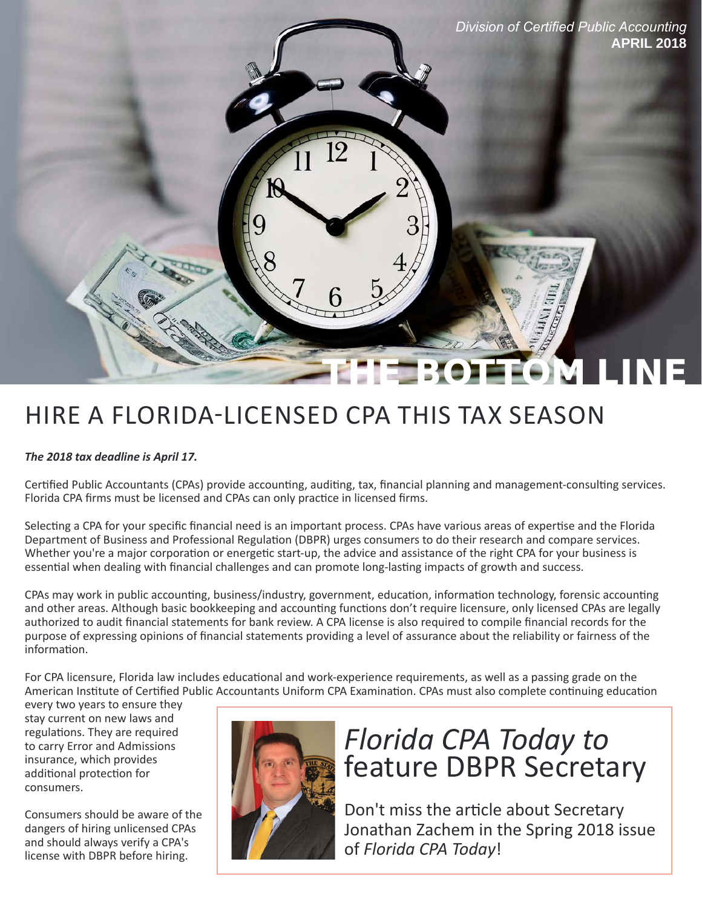

# THE BOTH

# HIRE A FLORIDA-LICENSED CPA THIS TAX SEASON

#### *The 2018 tax deadline is April 17.*

Certified Public Accountants (CPAs) provide accounting, auditing, tax, financial planning and management-consulting services. Florida CPA firms must be licensed and CPAs can only practice in licensed firms.

Selecting a CPA for your specific financial need is an important process. CPAs have various areas of expertise and the Florida Department of Business and Professional Regulation (DBPR) urges consumers to do their research and compare services. Whether you're a major corporation or energetic start-up, the advice and assistance of the right CPA for your business is essential when dealing with financial challenges and can promote long-lasting impacts of growth and success.

CPAs may work in public accounting, business/industry, government, education, information technology, forensic accounting and other areas. Although basic bookkeeping and accounting functions don't require licensure, only licensed CPAs are legally authorized to audit financial statements for bank review. A CPA license is also required to compile financial records for the purpose of expressing opinions of financial statements providing a level of assurance about the reliability or fairness of the information.

For CPA licensure, Florida law includes educational and work-experience requirements, as well as a passing grade on the American Institute of Certified Public Accountants Uniform CPA Examination. CPAs must also complete continuing education

every two years to ensure they stay current on new laws and regulations. They are required consumers.



# **Florida CPA Today to Florida CPA Today to insurance**, which provides insurance, which provides additional protection for **feature DBPR Secretary**

Consumers should be aware of the Don't miss the article about Secretary dangersof hiring unlicensed CPAs and should always verify a CPA's and should always verify a CPA's license with DBPR before hiring.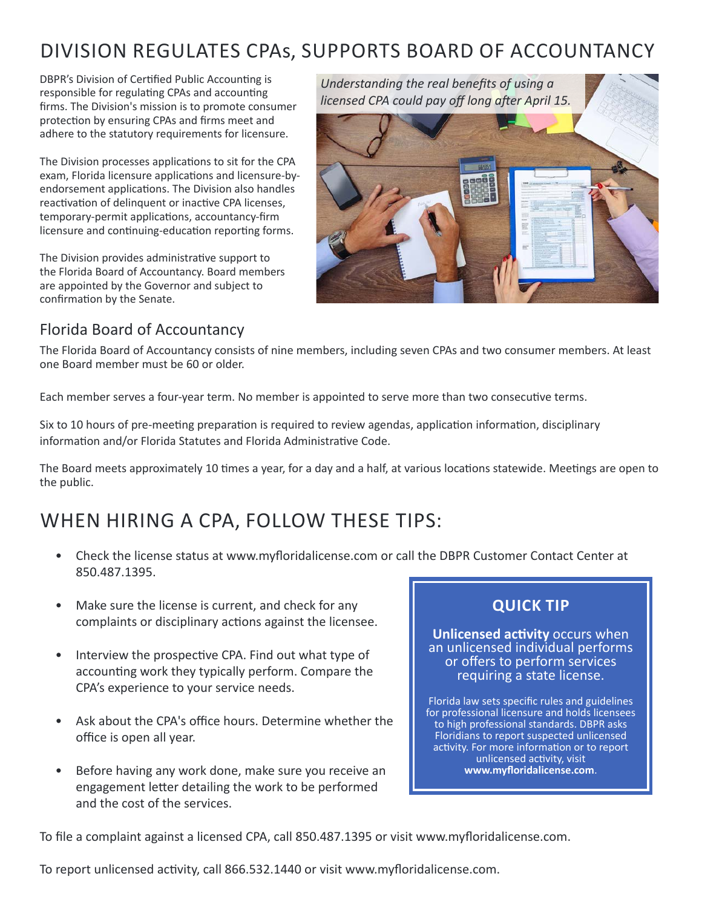### DIVISION REGULATES CPAs, SUPPORTS BOARD OF ACCOUNTANCY

DBPR's Division of Certified Public Accounting is responsible for regulating CPAs and accounting firms. The Division's mission is to promote consumer protection by ensuring CPAs and firms meet and adhere to the statutory requirements for licensure.

The Division processes applications to sit for the CPA exam, Florida licensure applications and licensure-byendorsement applications. The Division also handles reactivation of delinquent or inactive CPA licenses, temporary-permit applications, accountancy-firm licensure and continuing-education reporting forms.

The Division provides administrative support to the Florida Board of Accountancy. Board members are appointed by the Governor and subject to confirmation by the Senate.



#### Florida Board of Accountancy

The Florida Board of Accountancy consists of nine members, including seven CPAs and two consumer members. At least one Board member must be 60 or older.

Each member serves a four-year term. No member is appointed to serve more than two consecutive terms.

Six to 10 hours of pre-meeting preparation is required to review agendas, application information, disciplinary information and/or Florida Statutes and Florida Administrative Code.

The Board meets approximately 10 times a year, for a day and a half, at various locations statewide. Meetings are open to the public.

#### WHEN HIRING A CPA, FOLLOW THESE TIPS:

- Check the license status at [www.myfloridalicense.com](http://www.myfloridalicense.com/dbpr/) or call the DBPR Customer Contact Center at 850.487.1395.
- Make sure the license is current, and check for any **QUICK TIP**
- Interview the prospective CPA. Find out what type of accounting work they typically perform. Compare the requiring a state license. CPA's experience to your service needs.
- Ask about the CPA's office hours. Determine whether the to high professional standards. DBPR asks office is open all year. The same state of the set of the state of the state of the state of the state of the state of the state of the state of the state of the state of the state of the state of the state of the state of
- Before having any work done, make sure you receive an engagement letter detailing the work to be performed and the cost of the services.

complaints or disciplinary actions against the licensee.<br> **Unlicensed activity** occurs when<br>
an unlicensed individual performs

Florida law sets specific rules and guidelines<br>for professional licensure and holds licensees activity. For more information or to report unlicensed activity, visit<br>www.myfloridalicense.com.

To file a complaint against a licensed CPA, call 850.487.1395 or visi[t www.myfloridalicense.com.](http://www.myfloridalicense.com/dbpr/)

To report unlicensed activity, call 866.532.1440 or visit [www.myfloridalicense.com.](http://www.myfloridalicense.com/dbpr/)